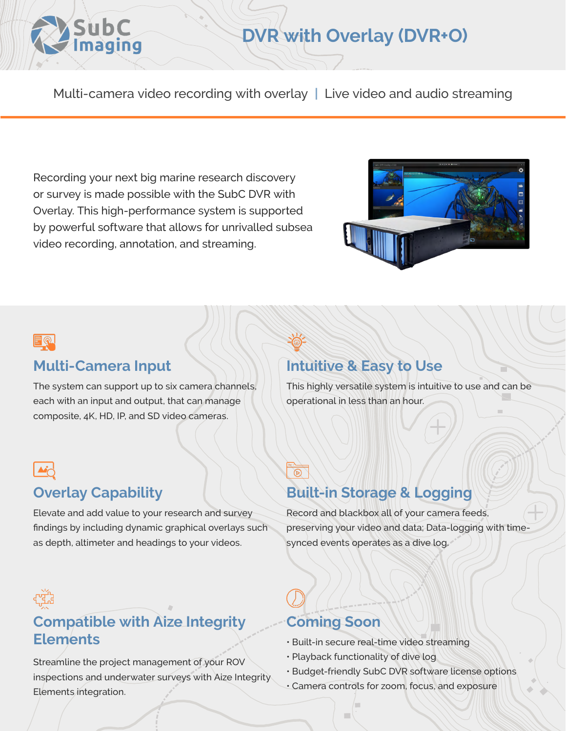

# **DVR with Overlay (DVR+O)**

Multi-camera video recording with overlay **|** Live video and audio streaming

Recording your next big marine research discovery or survey is made possible with the SubC DVR with Overlay. This high-performance system is supported by powerful software that allows for unrivalled subsea video recording, annotation, and streaming.





#### **Multi-Camera Input**

The system can support up to six camera channels, each with an input and output, that can manage composite, 4K, HD, IP, and SD video cameras.

## **Overlay Capability**

Elevate and add value to your research and survey findings by including dynamic graphical overlays such as depth, altimeter and headings to your videos.

## **Intuitive & Easy to Use**

This highly versatile system is intuitive to use and can be operational in less than an hour.

## $\overline{\circ}$ **Built-in Storage & Logging**

Record and blackbox all of your camera feeds, preserving your video and data; Data-logging with timesynced events operates as a dive log.

# **Compatible with Aize Integrity Elements**

Streamline the project management of your ROV inspections and underwater surveys with Aize Integrity Elements integration.

## **Coming Soon**

- Built-in secure real-time video streaming
- Playback functionality of dive log
- Budget-friendly SubC DVR software license options
- Camera controls for zoom, focus, and exposure